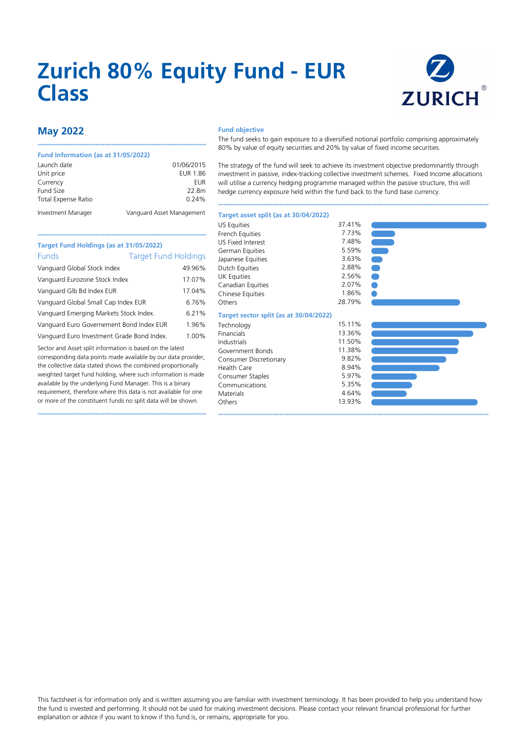# **Zurich 80% Equity Fund - EUR Class**



# **May 2022**

#### **Fund Information (as at 31/05/2022)**

| Launch date                | 01/06/2015                |
|----------------------------|---------------------------|
| Unit price                 | <b>EUR 1.86</b>           |
| Currency                   | EUR                       |
| Fund Size                  | 22.8m                     |
| <b>Total Expense Ratio</b> | 0.24%                     |
| Investment Manager         | Vanguard Asset Management |

••••••••••••••••••••••••••••••••••••••••••••••••••••••••••••••••••••••••••••••••••••••••••••••••

### **Fund objective**

The fund seeks to gain exposure to a diversified notional portfolio comprising approximately 80% by value of equity securities and 20% by value of fixed income securities.

The strategy of the fund will seek to achieve its investment objective predominantly through investment in passive, index-tracking collective investment schemes. Fixed Income allocations will utilise a currency hedging programme managed within the passive structure, this will hedge currency exposure held within the fund back to the fund base currency.

••••••••••••••••••••••••••••••••••••••••••••••••••••••••••••••••••••••••••••••••••••••••••••••••••••••••••••••••••••••••••••••••••••••••••••••••••••••••••

## •••••••••••••••••••••••••••••••••••••••••••••••••••••••••••••••••••••••••••••••••••••••••••••••• **Target Fund Holdings (as at 31/05/2022)** Funds Target Fund Holdings Vanguard Global Stock Index 49.96% Vanguard Eurozone Stock Index 17.07% Vanguard Glb Bd Index EUR 17.04% Vanguard Global Small Cap Index EUR 6.76% Vanguard Emerging Markets Stock Index. 6.21% Vanguard Euro Governement Bond Index EUR 1.96%

Vanguard Euro Investment Grade Bond Index. 1.00%

Sector and Asset split information is based on the latest corresponding data points made available by our data provider, the collective data stated shows the combined proportionally weighted target fund holding, where such information is made available by the underlying Fund Manager. This is a binary requirement, therefore where this data is not available for one or more of the constituent funds no split data will be shown.

••••••••••••••••••••••••••••••••••••••••••••••••••••••••••••••••••••••••••••••••••••••••••••••••

## US Equities 37.41%<br>French Fquities 37.41% French Equities 7.73%<br>115 Fixed Interest 7.48% US Fixed Interest 7.48%<br>German Fouities 7.59% German Equities 6.59%<br>
Iananese Equities 6.63% Japanese Equities 3.63%<br>Dutch Equities 3.88% Dutch Equities 2.88%<br>1 IK Faulties 2.56% UK Equities 2.56%<br>Canadian Equities 2.07% Canadian Equities 2.07% Chinese Equities Others 28.79% **Target sector split (as at 30/04/2022)** Technology 15.11%<br>Financials 13.36% Financials 13.36%<br>
Industrials 11.50% Industrials 11.50% Government Bonds Consumer Discretionary 19.82%<br>
Health Care 18.94% Health Care 8.94% Consumer Staples 5.97%<br>
Communications
5.35% Communications 5.35% Materials Others 13.93%

**Target asset split (as at 30/04/2022)**